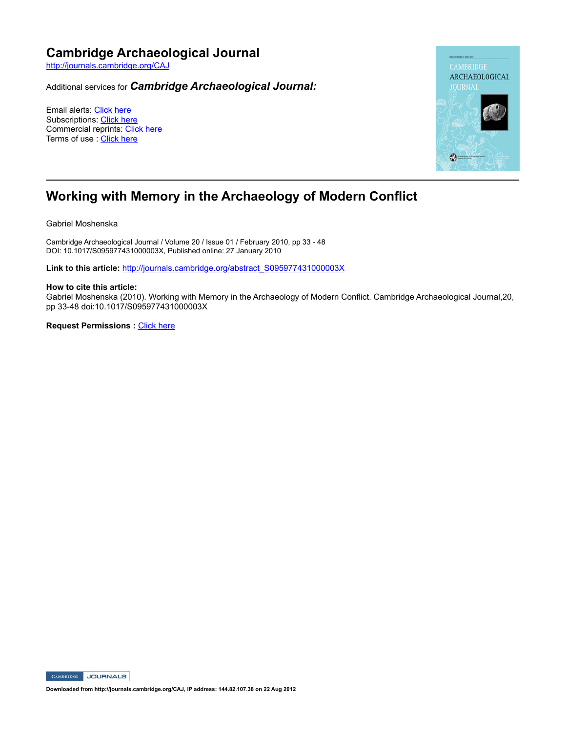# **Cambridge Archaeological Journal**

http://journals.cambridge.org/CAJ

Additional services for *Cambridge Archaeological Journal:*

Email alerts: Click here Subscriptions: Click here Commercial reprints: Click here Terms of use : Click here



# **Working with Memory in the Archaeology of Modern Conflict**

Gabriel Moshenska

Cambridge Archaeological Journal / Volume 20 / Issue 01 / February 2010, pp 33 48 DOI: 10.1017/S095977431000003X, Published online: 27 January 2010

Link to this article: http://journals.cambridge.org/abstract\_S095977431000003X

#### **How to cite this article:**

Gabriel Moshenska (2010). Working with Memory in the Archaeology of Modern Conflict. Cambridge Archaeological Journal,20, pp 3348 doi:10.1017/S095977431000003X

**Request Permissions : Click here** 

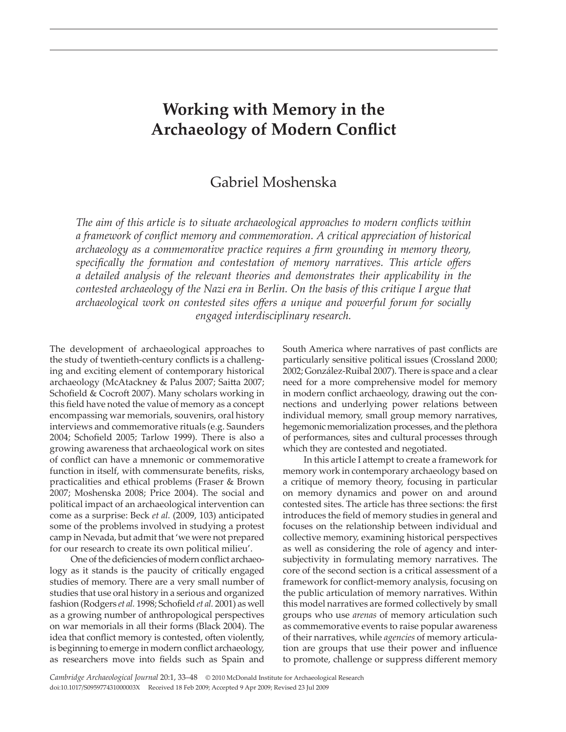# **Working with Memory in the Archaeology of Modern Conflict**

# Gabriel Moshenska

*The aim of this article is to situate archaeological approaches to modern conflicts within a framework of conflict memory and commemoration. A critical appreciation of historical archaeology as a commemorative practice requires a firm grounding in memory theory, specifically the formation and contestation of memory narratives. This article offers a detailed analysis of the relevant theories and demonstrates their applicability in the*  contested archaeology of the Nazi era in Berlin. On the basis of this critique I argue that *archaeological work on contested sites offers a unique and powerful forum for socially engaged interdisciplinary research.*

The development of archaeological approaches to the study of twentieth-century conflicts is a challenging and exciting element of contemporary historical archaeology (McAtackney & Palus 2007; Saitta 2007; Schofield & Cocroft 2007). Many scholars working in this field have noted the value of memory as a concept encompassing war memorials, souvenirs, oral history interviews and commemorative rituals (e.g. Saunders 2004; Schofield 2005; Tarlow 1999). There is also a growing awareness that archaeological work on sites of conflict can have a mnemonic or commemorative function in itself, with commensurate benefits, risks, practicalities and ethical problems (Fraser & Brown 2007; Moshenska 2008; Price 2004). The social and political impact of an archaeological intervention can come as a surprise: Beck *et al.* (2009, 103) anticipated some of the problems involved in studying a protest camp in Nevada, but admit that 'we were not prepared for our research to create its own political milieu'.

One of the deficiencies of modern conflict archaeology as it stands is the paucity of critically engaged studies of memory. There are a very small number of studies that use oral history in a serious and organized fashion (Rodgers *et al.* 1998; Schofield *et al.* 2001) as well as a growing number of anthropological perspectives on war memorials in all their forms (Black 2004). The idea that conflict memory is contested, often violently, is beginning to emerge in modern conflict archaeology, as researchers move into fields such as Spain and

South America where narratives of past conflicts are particularly sensitive political issues (Crossland 2000; 2002; González-Ruibal 2007). There is space and a clear need for a more comprehensive model for memory in modern conflict archaeology, drawing out the connections and underlying power relations between individual memory, small group memory narratives, hegemonic memorialization processes, and the plethora of performances, sites and cultural processes through which they are contested and negotiated.

In this article I attempt to create a framework for memory work in contemporary archaeology based on a critique of memory theory, focusing in particular on memory dynamics and power on and around contested sites. The article has three sections: the first introduces the field of memory studies in general and focuses on the relationship between individual and collective memory, examining historical perspectives as well as considering the role of agency and intersubjectivity in formulating memory narratives. The core of the second section is a critical assessment of a framework for conflict-memory analysis, focusing on the public articulation of memory narratives. Within this model narratives are formed collectively by small groups who use *arenas* of memory articulation such as commemorative events to raise popular awareness of their narratives, while *agencies* of memory articulation are groups that use their power and influence to promote, challenge or suppress different memory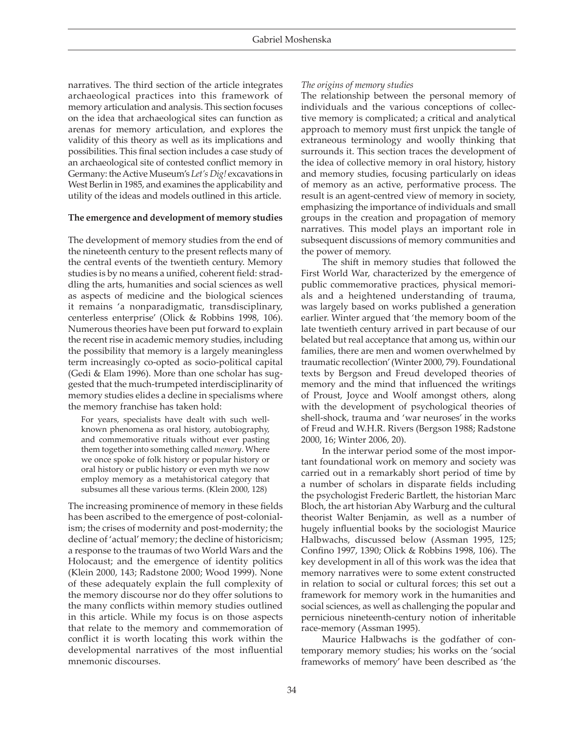narratives. The third section of the article integrates archaeological practices into this framework of memory articulation and analysis. This section focuses on the idea that archaeological sites can function as arenas for memory articulation, and explores the validity of this theory as well as its implications and possibilities. This final section includes a case study of an archaeological site of contested conflict memory in Germany: the Active Museum's *Let's Dig!* excavations in West Berlin in 1985, and examines the applicability and utility of the ideas and models outlined in this article.

# **The emergence and development of memory studies**

The development of memory studies from the end of the nineteenth century to the present reflects many of the central events of the twentieth century. Memory studies is by no means a unified, coherent field: straddling the arts, humanities and social sciences as well as aspects of medicine and the biological sciences it remains 'a nonparadigmatic, transdisciplinary, centerless enterprise' (Olick & Robbins 1998, 106). Numerous theories have been put forward to explain the recent rise in academic memory studies, including the possibility that memory is a largely meaningless term increasingly co-opted as socio-political capital (Gedi & Elam 1996). More than one scholar has suggested that the much-trumpeted interdisciplinarity of memory studies elides a decline in specialisms where the memory franchise has taken hold:

For years, specialists have dealt with such wellknown phenomena as oral history, autobiography, and commemorative rituals without ever pasting them together into something called *memory*. Where we once spoke of folk history or popular history or oral history or public history or even myth we now employ memory as a metahistorical category that subsumes all these various terms. (Klein 2000, 128)

The increasing prominence of memory in these fields has been ascribed to the emergence of post-colonialism; the crises of modernity and post-modernity; the decline of 'actual' memory; the decline of historicism; a response to the traumas of two World Wars and the Holocaust; and the emergence of identity politics (Klein 2000, 143; Radstone 2000; Wood 1999). None of these adequately explain the full complexity of the memory discourse nor do they offer solutions to the many conflicts within memory studies outlined in this article. While my focus is on those aspects that relate to the memory and commemoration of conflict it is worth locating this work within the developmental narratives of the most influential mnemonic discourses.

#### *The origins of memory studies*

The relationship between the personal memory of individuals and the various conceptions of collective memory is complicated; a critical and analytical approach to memory must first unpick the tangle of extraneous terminology and woolly thinking that surrounds it. This section traces the development of the idea of collective memory in oral history, history and memory studies, focusing particularly on ideas of memory as an active, performative process. The result is an agent-centred view of memory in society, emphasizing the importance of individuals and small groups in the creation and propagation of memory narratives. This model plays an important role in subsequent discussions of memory communities and the power of memory.

The shift in memory studies that followed the First World War, characterized by the emergence of public commemorative practices, physical memorials and a heightened understanding of trauma, was largely based on works published a generation earlier. Winter argued that 'the memory boom of the late twentieth century arrived in part because of our belated but real acceptance that among us, within our families, there are men and women overwhelmed by traumatic recollection' (Winter 2000, 79). Foundational texts by Bergson and Freud developed theories of memory and the mind that influenced the writings of Proust, Joyce and Woolf amongst others, along with the development of psychological theories of shell-shock, trauma and 'war neuroses' in the works of Freud and W.H.R. Rivers (Bergson 1988; Radstone 2000, 16; Winter 2006, 20).

In the interwar period some of the most important foundational work on memory and society was carried out in a remarkably short period of time by a number of scholars in disparate fields including the psychologist Frederic Bartlett, the historian Marc Bloch, the art historian Aby Warburg and the cultural theorist Walter Benjamin, as well as a number of hugely influential books by the sociologist Maurice Halbwachs, discussed below (Assman 1995, 125; Confino 1997, 1390; Olick & Robbins 1998, 106). The key development in all of this work was the idea that memory narratives were to some extent constructed in relation to social or cultural forces; this set out a framework for memory work in the humanities and social sciences, as well as challenging the popular and pernicious nineteenth-century notion of inheritable race-memory (Assman 1995).

Maurice Halbwachs is the godfather of contemporary memory studies; his works on the 'social frameworks of memory' have been described as 'the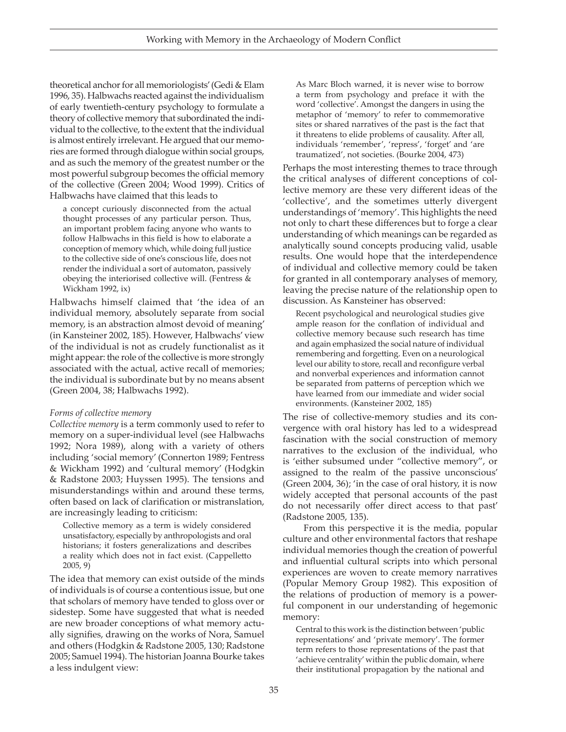theoretical anchor for all memoriologists' (Gedi & Elam 1996, 35). Halbwachs reacted against the individualism of early twentieth-century psychology to formulate a theory of collective memory that subordinated the individual to the collective, to the extent that the individual is almost entirely irrelevant. He argued that our memories are formed through dialogue within social groups, and as such the memory of the greatest number or the most powerful subgroup becomes the official memory of the collective (Green 2004; Wood 1999). Critics of Halbwachs have claimed that this leads to

a concept curiously disconnected from the actual thought processes of any particular person. Thus, an important problem facing anyone who wants to follow Halbwachs in this field is how to elaborate a conception of memory which, while doing full justice to the collective side of one's conscious life, does not render the individual a sort of automaton, passively obeying the interiorised collective will. (Fentress & Wickham 1992, ix)

Halbwachs himself claimed that 'the idea of an individual memory, absolutely separate from social memory, is an abstraction almost devoid of meaning' (in Kansteiner 2002, 185). However, Halbwachs' view of the individual is not as crudely functionalist as it might appear: the role of the collective is more strongly associated with the actual, active recall of memories; the individual is subordinate but by no means absent (Green 2004, 38; Halbwachs 1992).

# *Forms of collective memory*

*Collective memory* is a term commonly used to refer to memory on a super-individual level (see Halbwachs 1992; Nora 1989), along with a variety of others including 'social memory' (Connerton 1989; Fentress & Wickham 1992) and 'cultural memory' (Hodgkin & Radstone 2003; Huyssen 1995). The tensions and misunderstandings within and around these terms, often based on lack of clarification or mistranslation, are increasingly leading to criticism:

Collective memory as a term is widely considered unsatisfactory, especially by anthropologists and oral historians; it fosters generalizations and describes a reality which does not in fact exist. (Cappelletto 2005, 9)

The idea that memory can exist outside of the minds of individuals is of course a contentious issue, but one that scholars of memory have tended to gloss over or sidestep. Some have suggested that what is needed are new broader conceptions of what memory actually signifies, drawing on the works of Nora, Samuel and others (Hodgkin & Radstone 2005, 130; Radstone 2005; Samuel 1994). The historian Joanna Bourke takes a less indulgent view:

As Marc Bloch warned, it is never wise to borrow a term from psychology and preface it with the word 'collective'. Amongst the dangers in using the metaphor of 'memory' to refer to commemorative sites or shared narratives of the past is the fact that it threatens to elide problems of causality. After all, individuals 'remember', 'repress', 'forget' and 'are traumatized', not societies. (Bourke 2004, 473)

Perhaps the most interesting themes to trace through the critical analyses of different conceptions of collective memory are these very different ideas of the 'collective', and the sometimes utterly divergent understandings of 'memory'. This highlights the need not only to chart these differences but to forge a clear understanding of which meanings can be regarded as analytically sound concepts producing valid, usable results. One would hope that the interdependence of individual and collective memory could be taken for granted in all contemporary analyses of memory, leaving the precise nature of the relationship open to discussion. As Kansteiner has observed:

Recent psychological and neurological studies give ample reason for the conflation of individual and collective memory because such research has time and again emphasized the social nature of individual remembering and forgetting. Even on a neurological level our ability to store, recall and reconfigure verbal and nonverbal experiences and information cannot be separated from patterns of perception which we have learned from our immediate and wider social environments. (Kansteiner 2002, 185)

The rise of collective-memory studies and its convergence with oral history has led to a widespread fascination with the social construction of memory narratives to the exclusion of the individual, who is 'either subsumed under "collective memory", or assigned to the realm of the passive unconscious' (Green 2004, 36); 'in the case of oral history, it is now widely accepted that personal accounts of the past do not necessarily offer direct access to that past' (Radstone 2005, 135).

From this perspective it is the media, popular culture and other environmental factors that reshape individual memories though the creation of powerful and influential cultural scripts into which personal experiences are woven to create memory narratives (Popular Memory Group 1982). This exposition of the relations of production of memory is a powerful component in our understanding of hegemonic memory:

Central to this work is the distinction between 'public representations' and 'private memory'. The former term refers to those representations of the past that 'achieve centrality' within the public domain, where their institutional propagation by the national and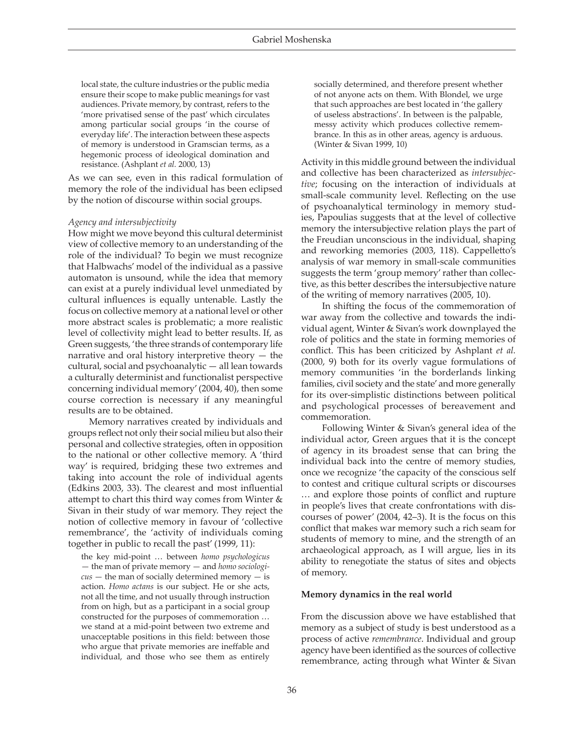local state, the culture industries or the public media ensure their scope to make public meanings for vast audiences. Private memory, by contrast, refers to the 'more privatised sense of the past' which circulates among particular social groups 'in the course of everyday life'. The interaction between these aspects of memory is understood in Gramscian terms, as a hegemonic process of ideological domination and resistance. (Ashplant *et al.* 2000, 13)

As we can see, even in this radical formulation of memory the role of the individual has been eclipsed by the notion of discourse within social groups.

#### *Agency and intersubjectivity*

How might we move beyond this cultural determinist view of collective memory to an understanding of the role of the individual? To begin we must recognize that Halbwachs' model of the individual as a passive automaton is unsound, while the idea that memory can exist at a purely individual level unmediated by cultural influences is equally untenable. Lastly the focus on collective memory at a national level or other more abstract scales is problematic; a more realistic level of collectivity might lead to better results. If, as Green suggests, 'the three strands of contemporary life narrative and oral history interpretive theory — the cultural, social and psychoanalytic — all lean towards a culturally determinist and functionalist perspective concerning individual memory' (2004, 40), then some course correction is necessary if any meaningful results are to be obtained.

Memory narratives created by individuals and groups reflect not only their social milieu but also their personal and collective strategies, often in opposition to the national or other collective memory. A 'third way' is required, bridging these two extremes and taking into account the role of individual agents (Edkins 2003, 33). The clearest and most influential attempt to chart this third way comes from Winter & Sivan in their study of war memory. They reject the notion of collective memory in favour of 'collective remembrance', the 'activity of individuals coming together in public to recall the past' (1999, 11):

the key mid-point … between *homo psychologicus* — the man of private memory — and *homo sociologi-* $\cos -$  the man of socially determined memory  $-$  is action. *Homo actans* is our subject. He or she acts, not all the time, and not usually through instruction from on high, but as a participant in a social group constructed for the purposes of commemoration … we stand at a mid-point between two extreme and unacceptable positions in this field: between those who argue that private memories are ineffable and individual, and those who see them as entirely

socially determined, and therefore present whether of not anyone acts on them. With Blondel, we urge that such approaches are best located in 'the gallery of useless abstractions'. In between is the palpable, messy activity which produces collective remembrance. In this as in other areas, agency is arduous. (Winter & Sivan 1999, 10)

Activity in this middle ground between the individual and collective has been characterized as *intersubjective*; focusing on the interaction of individuals at small-scale community level. Reflecting on the use of psychoanalytical terminology in memory studies, Papoulias suggests that at the level of collective memory the intersubjective relation plays the part of the Freudian unconscious in the individual, shaping and reworking memories (2003, 118). Cappelletto's analysis of war memory in small-scale communities suggests the term 'group memory' rather than collective, as this better describes the intersubjective nature of the writing of memory narratives (2005, 10).

In shifting the focus of the commemoration of war away from the collective and towards the individual agent, Winter & Sivan's work downplayed the role of politics and the state in forming memories of conflict. This has been criticized by Ashplant *et al.*  (2000, 9) both for its overly vague formulations of memory communities 'in the borderlands linking families, civil society and the state' and more generally for its over-simplistic distinctions between political and psychological processes of bereavement and commemoration.

Following Winter & Sivan's general idea of the individual actor, Green argues that it is the concept of agency in its broadest sense that can bring the individual back into the centre of memory studies, once we recognize 'the capacity of the conscious self to contest and critique cultural scripts or discourses … and explore those points of conflict and rupture in people's lives that create confrontations with discourses of power' (2004, 42–3). It is the focus on this conflict that makes war memory such a rich seam for students of memory to mine, and the strength of an archaeological approach, as I will argue, lies in its ability to renegotiate the status of sites and objects of memory.

# **Memory dynamics in the real world**

From the discussion above we have established that memory as a subject of study is best understood as a process of active *remembrance*. Individual and group agency have been identified as the sources of collective remembrance, acting through what Winter & Sivan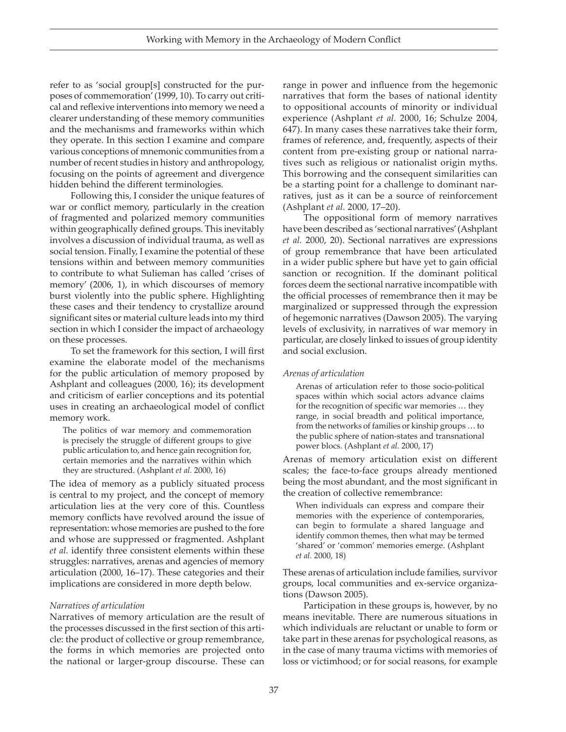refer to as 'social group[s] constructed for the purposes of commemoration' (1999, 10). To carry out critical and reflexive interventions into memory we need a clearer understanding of these memory communities and the mechanisms and frameworks within which they operate. In this section I examine and compare various conceptions of mnemonic communities from a number of recent studies in history and anthropology, focusing on the points of agreement and divergence hidden behind the different terminologies.

Following this, I consider the unique features of war or conflict memory, particularly in the creation of fragmented and polarized memory communities within geographically defined groups. This inevitably involves a discussion of individual trauma, as well as social tension. Finally, I examine the potential of these tensions within and between memory communities to contribute to what Sulieman has called 'crises of memory' (2006, 1), in which discourses of memory burst violently into the public sphere. Highlighting these cases and their tendency to crystallize around significant sites or material culture leads into my third section in which I consider the impact of archaeology on these processes.

To set the framework for this section, I will first examine the elaborate model of the mechanisms for the public articulation of memory proposed by Ashplant and colleagues (2000, 16); its development and criticism of earlier conceptions and its potential uses in creating an archaeological model of conflict memory work.

The politics of war memory and commemoration is precisely the struggle of different groups to give public articulation to, and hence gain recognition for, certain memories and the narratives within which they are structured. (Ashplant *et al.* 2000, 16)

The idea of memory as a publicly situated process is central to my project, and the concept of memory articulation lies at the very core of this. Countless memory conflicts have revolved around the issue of representation: whose memories are pushed to the fore and whose are suppressed or fragmented. Ashplant *et al.* identify three consistent elements within these struggles: narratives, arenas and agencies of memory articulation (2000, 16–17). These categories and their implications are considered in more depth below.

# *Narratives of articulation*

Narratives of memory articulation are the result of the processes discussed in the first section of this article: the product of collective or group remembrance, the forms in which memories are projected onto the national or larger-group discourse. These can range in power and influence from the hegemonic narratives that form the bases of national identity to oppositional accounts of minority or individual experience (Ashplant *et al.* 2000, 16; Schulze 2004, 647). In many cases these narratives take their form, frames of reference, and, frequently, aspects of their content from pre-existing group or national narratives such as religious or nationalist origin myths. This borrowing and the consequent similarities can be a starting point for a challenge to dominant narratives, just as it can be a source of reinforcement (Ashplant *et al.* 2000, 17–20).

The oppositional form of memory narratives have been described as 'sectional narratives' (Ashplant *et al.* 2000, 20). Sectional narratives are expressions of group remembrance that have been articulated in a wider public sphere but have yet to gain official sanction or recognition. If the dominant political forces deem the sectional narrative incompatible with the official processes of remembrance then it may be marginalized or suppressed through the expression of hegemonic narratives (Dawson 2005). The varying levels of exclusivity, in narratives of war memory in particular, are closely linked to issues of group identity and social exclusion.

#### *Arenas of articulation*

Arenas of articulation refer to those socio-political spaces within which social actors advance claims for the recognition of specific war memories … they range, in social breadth and political importance, from the networks of families or kinship groups … to the public sphere of nation-states and transnational power blocs. (Ashplant *et al.* 2000, 17)

Arenas of memory articulation exist on different scales; the face-to-face groups already mentioned being the most abundant, and the most significant in the creation of collective remembrance:

When individuals can express and compare their memories with the experience of contemporaries, can begin to formulate a shared language and identify common themes, then what may be termed 'shared' or 'common' memories emerge. (Ashplant *et al.* 2000, 18)

These arenas of articulation include families, survivor groups, local communities and ex-service organizations (Dawson 2005).

Participation in these groups is, however, by no means inevitable. There are numerous situations in which individuals are reluctant or unable to form or take part in these arenas for psychological reasons, as in the case of many trauma victims with memories of loss or victimhood; or for social reasons, for example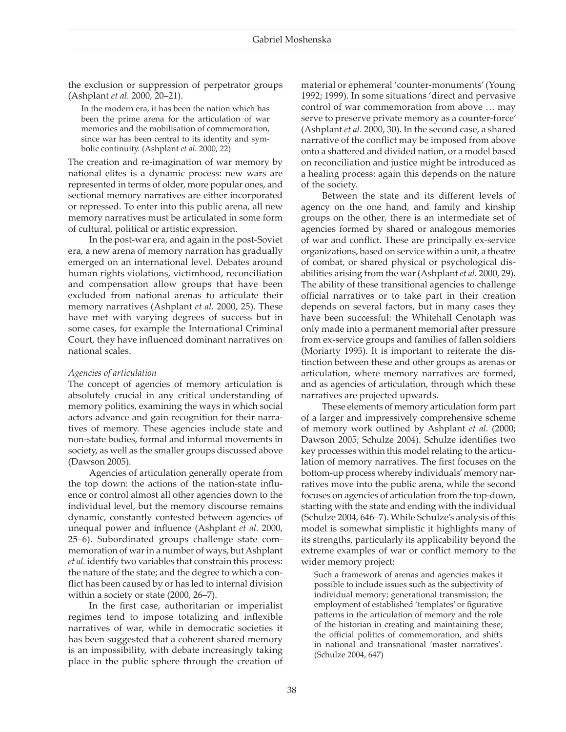the exclusion or suppression of perpetrator groups (Ashplant *et al.* 2000, 20–21).

In the modern era, it has been the nation which has been the prime arena for the articulation of war memories and the mobilisation of commemoration, since war has been central to its identity and symbolic continuity. (Ashplant *et al.* 2000, 22)

The creation and re-imagination of war memory by national elites is a dynamic process: new wars are represented in terms of older, more popular ones, and sectional memory narratives are either incorporated or repressed. To enter into this public arena, all new memory narratives must be articulated in some form of cultural, political or artistic expression.

In the post-war era, and again in the post-Soviet era, a new arena of memory narration has gradually emerged on an international level. Debates around human rights violations, victimhood, reconciliation and compensation allow groups that have been excluded from national arenas to articulate their memory narratives (Ashplant *et al.* 2000, 25). These have met with varying degrees of success but in some cases, for example the International Criminal Court, they have influenced dominant narratives on national scales.

# *Agencies of articulation*

The concept of agencies of memory articulation is absolutely crucial in any critical understanding of memory politics, examining the ways in which social actors advance and gain recognition for their narratives of memory. These agencies include state and non-state bodies, formal and informal movements in society, as well as the smaller groups discussed above (Dawson 2005).

Agencies of articulation generally operate from the top down: the actions of the nation-state influence or control almost all other agencies down to the individual level, but the memory discourse remains dynamic, constantly contested between agencies of unequal power and influence (Ashplant *et al.* 2000, 25–6). Subordinated groups challenge state commemoration of war in a number of ways, but Ashplant *et al.* identify two variables that constrain this process: the nature of the state; and the degree to which a conflict has been caused by or has led to internal division within a society or state (2000, 26–7).

In the first case, authoritarian or imperialist regimes tend to impose totalizing and inflexible narratives of war, while in democratic societies it has been suggested that a coherent shared memory is an impossibility, with debate increasingly taking place in the public sphere through the creation of

material or ephemeral 'counter-monuments' (Young 1992; 1999). In some situations 'direct and pervasive control of war commemoration from above … may serve to preserve private memory as a counter-force' (Ashplant *et al.* 2000, 30). In the second case, a shared narrative of the conflict may be imposed from above onto a shattered and divided nation, or a model based on reconciliation and justice might be introduced as a healing process: again this depends on the nature of the society.

Between the state and its different levels of agency on the one hand, and family and kinship groups on the other, there is an intermediate set of agencies formed by shared or analogous memories of war and conflict. These are principally ex-service organizations, based on service within a unit, a theatre of combat, or shared physical or psychological disabilities arising from the war (Ashplant *et al.* 2000, 29). The ability of these transitional agencies to challenge official narratives or to take part in their creation depends on several factors, but in many cases they have been successful: the Whitehall Cenotaph was only made into a permanent memorial after pressure from ex-service groups and families of fallen soldiers (Moriarty 1995). It is important to reiterate the distinction between these and other groups as arenas or articulation, where memory narratives are formed, and as agencies of articulation, through which these narratives are projected upwards.

These elements of memory articulation form part of a larger and impressively comprehensive scheme of memory work outlined by Ashplant *et al.* (2000; Dawson 2005; Schulze 2004). Schulze identifies two key processes within this model relating to the articulation of memory narratives. The first focuses on the bottom-up process whereby individuals' memory narratives move into the public arena, while the second focuses on agencies of articulation from the top-down, starting with the state and ending with the individual (Schulze 2004, 646–7). While Schulze's analysis of this model is somewhat simplistic it highlights many of its strengths, particularly its applicability beyond the extreme examples of war or conflict memory to the wider memory project:

Such a framework of arenas and agencies makes it possible to include issues such as the subjectivity of individual memory; generational transmission; the employment of established 'templates' or figurative patterns in the articulation of memory and the role of the historian in creating and maintaining these; the official politics of commemoration, and shifts in national and transnational 'master narratives'. (Schulze 2004, 647)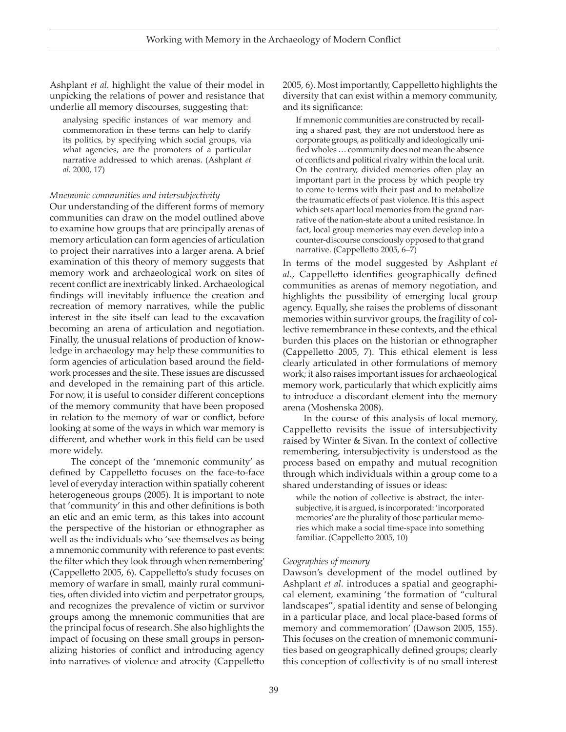Ashplant *et al.* highlight the value of their model in unpicking the relations of power and resistance that underlie all memory discourses, suggesting that:

analysing specific instances of war memory and commemoration in these terms can help to clarify its politics, by specifying which social groups, via what agencies, are the promoters of a particular narrative addressed to which arenas. (Ashplant *et al.* 2000, 17)

# *Mnemonic communities and intersubjectivity*

Our understanding of the different forms of memory communities can draw on the model outlined above to examine how groups that are principally arenas of memory articulation can form agencies of articulation to project their narratives into a larger arena. A brief examination of this theory of memory suggests that memory work and archaeological work on sites of recent conflict are inextricably linked. Archaeological findings will inevitably influence the creation and recreation of memory narratives, while the public interest in the site itself can lead to the excavation becoming an arena of articulation and negotiation. Finally, the unusual relations of production of knowledge in archaeology may help these communities to form agencies of articulation based around the fieldwork processes and the site. These issues are discussed and developed in the remaining part of this article. For now, it is useful to consider different conceptions of the memory community that have been proposed in relation to the memory of war or conflict, before looking at some of the ways in which war memory is different, and whether work in this field can be used more widely.

The concept of the 'mnemonic community' as defined by Cappelletto focuses on the face-to-face level of everyday interaction within spatially coherent heterogeneous groups (2005). It is important to note that 'community' in this and other definitions is both an etic and an emic term, as this takes into account the perspective of the historian or ethnographer as well as the individuals who 'see themselves as being a mnemonic community with reference to past events: the filter which they look through when remembering' (Cappelletto 2005, 6). Cappelletto's study focuses on memory of warfare in small, mainly rural communities, often divided into victim and perpetrator groups, and recognizes the prevalence of victim or survivor groups among the mnemonic communities that are the principal focus of research. She also highlights the impact of focusing on these small groups in personalizing histories of conflict and introducing agency into narratives of violence and atrocity (Cappelletto

2005, 6). Most importantly, Cappelletto highlights the diversity that can exist within a memory community, and its significance:

If mnemonic communities are constructed by recalling a shared past, they are not understood here as corporate groups, as politically and ideologically unified wholes … community does not mean the absence of conflicts and political rivalry within the local unit. On the contrary, divided memories often play an important part in the process by which people try to come to terms with their past and to metabolize the traumatic effects of past violence. It is this aspect which sets apart local memories from the grand narrative of the nation-state about a united resistance. In fact, local group memories may even develop into a counter-discourse consciously opposed to that grand narrative. (Cappelletto 2005, 6–7)

In terms of the model suggested by Ashplant *et al.*, Cappelletto identifies geographically defined communities as arenas of memory negotiation, and highlights the possibility of emerging local group agency. Equally, she raises the problems of dissonant memories within survivor groups, the fragility of collective remembrance in these contexts, and the ethical burden this places on the historian or ethnographer (Cappelletto 2005, 7). This ethical element is less clearly articulated in other formulations of memory work; it also raises important issues for archaeological memory work, particularly that which explicitly aims to introduce a discordant element into the memory arena (Moshenska 2008).

In the course of this analysis of local memory, Cappelletto revisits the issue of intersubjectivity raised by Winter & Sivan. In the context of collective remembering, intersubjectivity is understood as the process based on empathy and mutual recognition through which individuals within a group come to a shared understanding of issues or ideas:

while the notion of collective is abstract, the intersubjective, it is argued, is incorporated: 'incorporated memories' are the plurality of those particular memories which make a social time-space into something familiar. (Cappelletto 2005, 10)

#### *Geographies of memory*

Dawson's development of the model outlined by Ashplant *et al.* introduces a spatial and geographical element, examining 'the formation of "cultural landscapes", spatial identity and sense of belonging in a particular place, and local place-based forms of memory and commemoration' (Dawson 2005, 155). This focuses on the creation of mnemonic communities based on geographically defined groups; clearly this conception of collectivity is of no small interest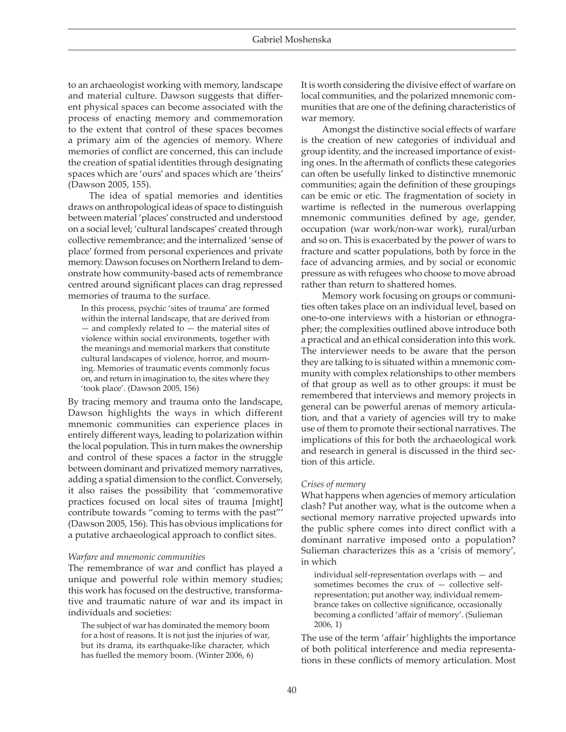to an archaeologist working with memory, landscape and material culture. Dawson suggests that different physical spaces can become associated with the process of enacting memory and commemoration to the extent that control of these spaces becomes a primary aim of the agencies of memory. Where memories of conflict are concerned, this can include the creation of spatial identities through designating spaces which are 'ours' and spaces which are 'theirs' (Dawson 2005, 155).

The idea of spatial memories and identities draws on anthropological ideas of space to distinguish between material 'places' constructed and understood on a social level; 'cultural landscapes' created through collective remembrance; and the internalized 'sense of place' formed from personal experiences and private memory. Dawson focuses on Northern Ireland to demonstrate how community-based acts of remembrance centred around significant places can drag repressed memories of trauma to the surface.

In this process, psychic 'sites of trauma' are formed within the internal landscape, that are derived from — and complexly related to — the material sites of violence within social environments, together with the meanings and memorial markers that constitute cultural landscapes of violence, horror, and mourning. Memories of traumatic events commonly focus on, and return in imagination to, the sites where they 'took place'. (Dawson 2005, 156)

By tracing memory and trauma onto the landscape, Dawson highlights the ways in which different mnemonic communities can experience places in entirely different ways, leading to polarization within the local population. This in turn makes the ownership and control of these spaces a factor in the struggle between dominant and privatized memory narratives, adding a spatial dimension to the conflict. Conversely, it also raises the possibility that 'commemorative practices focused on local sites of trauma [might] contribute towards "coming to terms with the past"' (Dawson 2005, 156). This has obvious implications for a putative archaeological approach to conflict sites.

#### *Warfare and mnemonic communities*

The remembrance of war and conflict has played a unique and powerful role within memory studies; this work has focused on the destructive, transformative and traumatic nature of war and its impact in individuals and societies:

The subject of war has dominated the memory boom for a host of reasons. It is not just the injuries of war, but its drama, its earthquake-like character, which has fuelled the memory boom. (Winter 2006, 6)

It is worth considering the divisive effect of warfare on local communities, and the polarized mnemonic communities that are one of the defining characteristics of war memory.

Amongst the distinctive social effects of warfare is the creation of new categories of individual and group identity, and the increased importance of existing ones. In the aftermath of conflicts these categories can often be usefully linked to distinctive mnemonic communities; again the definition of these groupings can be emic or etic. The fragmentation of society in wartime is reflected in the numerous overlapping mnemonic communities defined by age, gender, occupation (war work/non-war work), rural/urban and so on. This is exacerbated by the power of wars to fracture and scatter populations, both by force in the face of advancing armies, and by social or economic pressure as with refugees who choose to move abroad rather than return to shattered homes.

Memory work focusing on groups or communities often takes place on an individual level, based on one-to-one interviews with a historian or ethnographer; the complexities outlined above introduce both a practical and an ethical consideration into this work. The interviewer needs to be aware that the person they are talking to is situated within a mnemonic community with complex relationships to other members of that group as well as to other groups: it must be remembered that interviews and memory projects in general can be powerful arenas of memory articulation, and that a variety of agencies will try to make use of them to promote their sectional narratives. The implications of this for both the archaeological work and research in general is discussed in the third section of this article.

#### *Crises of memory*

What happens when agencies of memory articulation clash? Put another way, what is the outcome when a sectional memory narrative projected upwards into the public sphere comes into direct conflict with a dominant narrative imposed onto a population? Sulieman characterizes this as a 'crisis of memory', in which

individual self-representation overlaps with — and sometimes becomes the crux of  $-$  collective selfrepresentation; put another way, individual remembrance takes on collective significance, occasionally becoming a conflicted 'affair of memory'. (Sulieman 2006, 1)

The use of the term 'affair' highlights the importance of both political interference and media representations in these conflicts of memory articulation. Most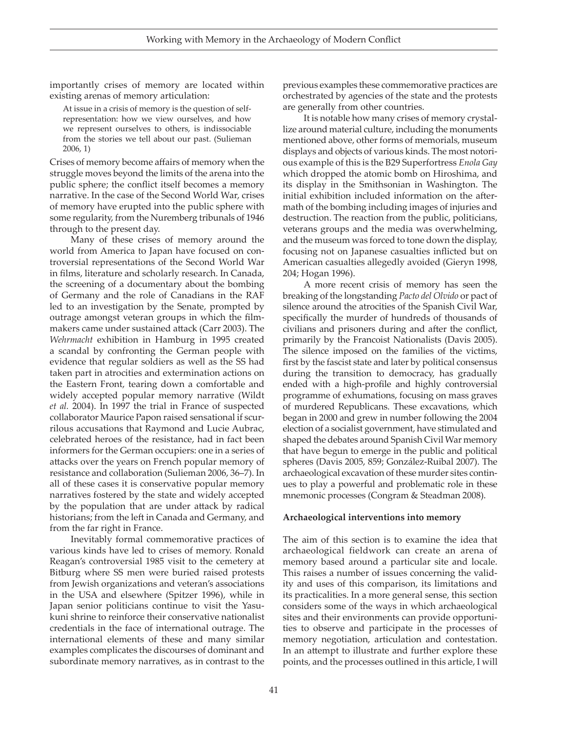importantly crises of memory are located within existing arenas of memory articulation:

At issue in a crisis of memory is the question of selfrepresentation: how we view ourselves, and how we represent ourselves to others, is indissociable from the stories we tell about our past. (Sulieman 2006, 1)

Crises of memory become affairs of memory when the struggle moves beyond the limits of the arena into the public sphere; the conflict itself becomes a memory narrative. In the case of the Second World War, crises of memory have erupted into the public sphere with some regularity, from the Nuremberg tribunals of 1946 through to the present day.

Many of these crises of memory around the world from America to Japan have focused on controversial representations of the Second World War in films, literature and scholarly research. In Canada, the screening of a documentary about the bombing of Germany and the role of Canadians in the RAF led to an investigation by the Senate, prompted by outrage amongst veteran groups in which the filmmakers came under sustained attack (Carr 2003). The *Wehrmacht* exhibition in Hamburg in 1995 created a scandal by confronting the German people with evidence that regular soldiers as well as the SS had taken part in atrocities and extermination actions on the Eastern Front, tearing down a comfortable and widely accepted popular memory narrative (Wildt *et al.* 2004). In 1997 the trial in France of suspected collaborator Maurice Papon raised sensational if scurrilous accusations that Raymond and Lucie Aubrac, celebrated heroes of the resistance, had in fact been informers for the German occupiers: one in a series of attacks over the years on French popular memory of resistance and collaboration (Sulieman 2006, 36–7). In all of these cases it is conservative popular memory narratives fostered by the state and widely accepted by the population that are under attack by radical historians; from the left in Canada and Germany, and from the far right in France.

Inevitably formal commemorative practices of various kinds have led to crises of memory. Ronald Reagan's controversial 1985 visit to the cemetery at Bitburg where SS men were buried raised protests from Jewish organizations and veteran's associations in the USA and elsewhere (Spitzer 1996), while in Japan senior politicians continue to visit the Yasukuni shrine to reinforce their conservative nationalist credentials in the face of international outrage. The international elements of these and many similar examples complicates the discourses of dominant and subordinate memory narratives, as in contrast to the

previous examples these commemorative practices are orchestrated by agencies of the state and the protests are generally from other countries.

It is notable how many crises of memory crystallize around material culture, including the monuments mentioned above, other forms of memorials, museum displays and objects of various kinds. The most notorious example of this is the B29 Superfortress *Enola Gay* which dropped the atomic bomb on Hiroshima, and its display in the Smithsonian in Washington. The initial exhibition included information on the aftermath of the bombing including images of injuries and destruction. The reaction from the public, politicians, veterans groups and the media was overwhelming, and the museum was forced to tone down the display, focusing not on Japanese casualties inflicted but on American casualties allegedly avoided (Gieryn 1998, 204; Hogan 1996).

A more recent crisis of memory has seen the breaking of the longstanding *Pacto del Olvido* or pact of silence around the atrocities of the Spanish Civil War, specifically the murder of hundreds of thousands of civilians and prisoners during and after the conflict, primarily by the Francoist Nationalists (Davis 2005). The silence imposed on the families of the victims, first by the fascist state and later by political consensus during the transition to democracy, has gradually ended with a high-profile and highly controversial programme of exhumations, focusing on mass graves of murdered Republicans. These excavations, which began in 2000 and grew in number following the 2004 election of a socialist government, have stimulated and shaped the debates around Spanish Civil War memory that have begun to emerge in the public and political spheres (Davis 2005, 859; González-Ruibal 2007). The archaeological excavation of these murder sites continues to play a powerful and problematic role in these mnemonic processes (Congram & Steadman 2008).

#### **Archaeological interventions into memory**

The aim of this section is to examine the idea that archaeological fieldwork can create an arena of memory based around a particular site and locale. This raises a number of issues concerning the validity and uses of this comparison, its limitations and its practicalities. In a more general sense, this section considers some of the ways in which archaeological sites and their environments can provide opportunities to observe and participate in the processes of memory negotiation, articulation and contestation. In an attempt to illustrate and further explore these points, and the processes outlined in this article, I will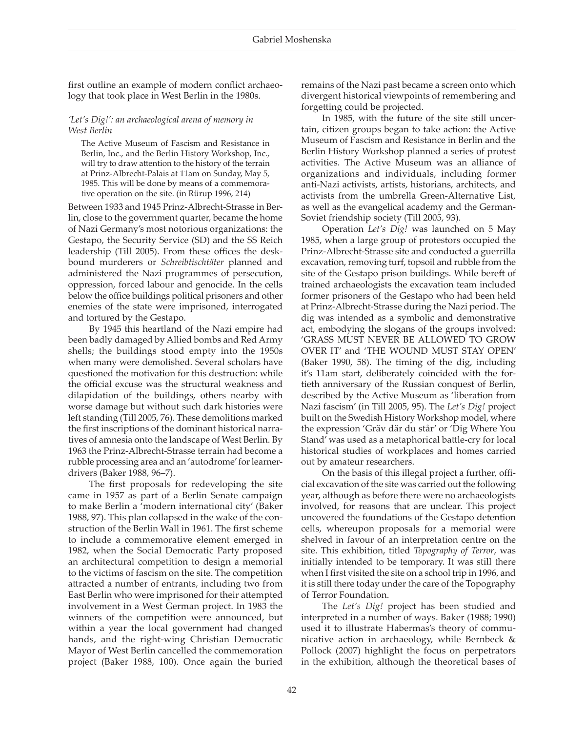first outline an example of modern conflict archaeology that took place in West Berlin in the 1980s.

# *'Let's Dig!': an archaeological arena of memory in West Berlin*

The Active Museum of Fascism and Resistance in Berlin, Inc., and the Berlin History Workshop, Inc., will try to draw attention to the history of the terrain at Prinz-Albrecht-Palais at 11am on Sunday, May 5, 1985. This will be done by means of a commemorative operation on the site. (in Rürup 1996, 214)

Between 1933 and 1945 Prinz-Albrecht-Strasse in Berlin, close to the government quarter, became the home of Nazi Germany's most notorious organizations: the Gestapo, the Security Service (SD) and the SS Reich leadership (Till 2005). From these offices the deskbound murderers or *Schreibtischtäter* planned and administered the Nazi programmes of persecution, oppression, forced labour and genocide. In the cells below the office buildings political prisoners and other enemies of the state were imprisoned, interrogated and tortured by the Gestapo.

By 1945 this heartland of the Nazi empire had been badly damaged by Allied bombs and Red Army shells; the buildings stood empty into the 1950s when many were demolished. Several scholars have questioned the motivation for this destruction: while the official excuse was the structural weakness and dilapidation of the buildings, others nearby with worse damage but without such dark histories were left standing (Till 2005, 76). These demolitions marked the first inscriptions of the dominant historical narratives of amnesia onto the landscape of West Berlin. By 1963 the Prinz-Albrecht-Strasse terrain had become a rubble processing area and an 'autodrome' for learnerdrivers (Baker 1988, 96–7).

The first proposals for redeveloping the site came in 1957 as part of a Berlin Senate campaign to make Berlin a 'modern international city' (Baker 1988, 97). This plan collapsed in the wake of the construction of the Berlin Wall in 1961. The first scheme to include a commemorative element emerged in 1982, when the Social Democratic Party proposed an architectural competition to design a memorial to the victims of fascism on the site. The competition attracted a number of entrants, including two from East Berlin who were imprisoned for their attempted involvement in a West German project. In 1983 the winners of the competition were announced, but within a year the local government had changed hands, and the right-wing Christian Democratic Mayor of West Berlin cancelled the commemoration project (Baker 1988, 100). Once again the buried

remains of the Nazi past became a screen onto which divergent historical viewpoints of remembering and forgetting could be projected.

In 1985, with the future of the site still uncertain, citizen groups began to take action: the Active Museum of Fascism and Resistance in Berlin and the Berlin History Workshop planned a series of protest activities. The Active Museum was an alliance of organizations and individuals, including former anti-Nazi activists, artists, historians, architects, and activists from the umbrella Green-Alternative List, as well as the evangelical academy and the German-Soviet friendship society (Till 2005, 93).

Operation *Let's Dig!* was launched on 5 May 1985, when a large group of protestors occupied the Prinz-Albrecht-Strasse site and conducted a guerrilla excavation, removing turf, topsoil and rubble from the site of the Gestapo prison buildings. While bereft of trained archaeologists the excavation team included former prisoners of the Gestapo who had been held at Prinz-Albrecht-Strasse during the Nazi period. The dig was intended as a symbolic and demonstrative act, embodying the slogans of the groups involved: 'GRASS MUST NEVER BE ALLOWED TO GROW OVER IT' and 'THE WOUND MUST STAY OPEN' (Baker 1990, 58). The timing of the dig, including it's 11am start, deliberately coincided with the fortieth anniversary of the Russian conquest of Berlin, described by the Active Museum as 'liberation from Nazi fascism' (in Till 2005, 95). The *Let's Dig!* project built on the Swedish History Workshop model, where the expression 'Gräv där du står' or 'Dig Where You Stand' was used as a metaphorical battle-cry for local historical studies of workplaces and homes carried out by amateur researchers.

On the basis of this illegal project a further, official excavation of the site was carried out the following year, although as before there were no archaeologists involved, for reasons that are unclear. This project uncovered the foundations of the Gestapo detention cells, whereupon proposals for a memorial were shelved in favour of an interpretation centre on the site. This exhibition, titled *Topography of Terror*, was initially intended to be temporary. It was still there when I first visited the site on a school trip in 1996, and it is still there today under the care of the Topography of Terror Foundation.

The *Let's Dig!* project has been studied and interpreted in a number of ways. Baker (1988; 1990) used it to illustrate Habermas's theory of communicative action in archaeology, while Bernbeck & Pollock (2007) highlight the focus on perpetrators in the exhibition, although the theoretical bases of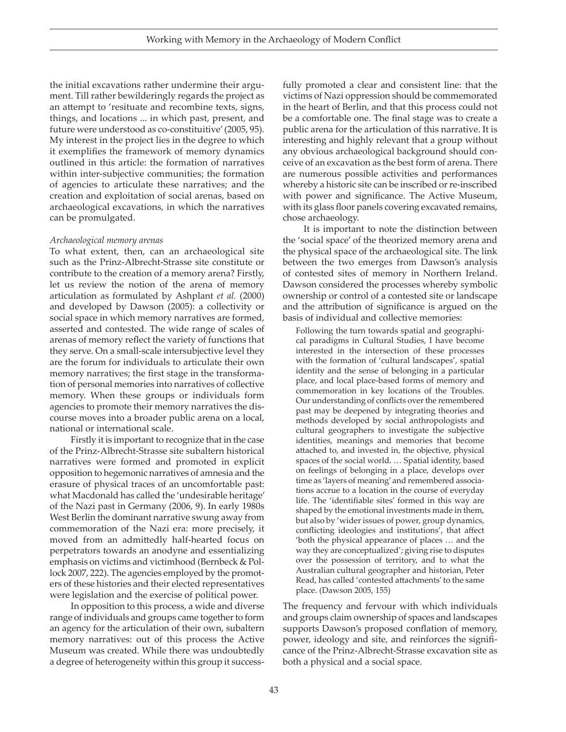the initial excavations rather undermine their argument. Till rather bewilderingly regards the project as an attempt to 'resituate and recombine texts, signs, things, and locations ... in which past, present, and future were understood as co-constituitive' (2005, 95). My interest in the project lies in the degree to which it exemplifies the framework of memory dynamics outlined in this article: the formation of narratives within inter-subjective communities; the formation of agencies to articulate these narratives; and the creation and exploitation of social arenas, based on archaeological excavations, in which the narratives can be promulgated.

# *Archaeological memory arenas*

To what extent, then, can an archaeological site such as the Prinz-Albrecht-Strasse site constitute or contribute to the creation of a memory arena? Firstly, let us review the notion of the arena of memory articulation as formulated by Ashplant *et al.* (2000) and developed by Dawson (2005): a collectivity or social space in which memory narratives are formed, asserted and contested. The wide range of scales of arenas of memory reflect the variety of functions that they serve. On a small-scale intersubjective level they are the forum for individuals to articulate their own memory narratives; the first stage in the transformation of personal memories into narratives of collective memory. When these groups or individuals form agencies to promote their memory narratives the discourse moves into a broader public arena on a local, national or international scale.

Firstly it is important to recognize that in the case of the Prinz-Albrecht-Strasse site subaltern historical narratives were formed and promoted in explicit opposition to hegemonic narratives of amnesia and the erasure of physical traces of an uncomfortable past: what Macdonald has called the 'undesirable heritage' of the Nazi past in Germany (2006, 9). In early 1980s West Berlin the dominant narrative swung away from commemoration of the Nazi era: more precisely, it moved from an admittedly half-hearted focus on perpetrators towards an anodyne and essentializing emphasis on victims and victimhood (Bernbeck & Pollock 2007, 222). The agencies employed by the promoters of these histories and their elected representatives were legislation and the exercise of political power.

In opposition to this process, a wide and diverse range of individuals and groups came together to form an agency for the articulation of their own, subaltern memory narratives: out of this process the Active Museum was created. While there was undoubtedly a degree of heterogeneity within this group it successfully promoted a clear and consistent line: that the victims of Nazi oppression should be commemorated in the heart of Berlin, and that this process could not be a comfortable one. The final stage was to create a public arena for the articulation of this narrative. It is interesting and highly relevant that a group without any obvious archaeological background should conceive of an excavation as the best form of arena. There are numerous possible activities and performances whereby a historic site can be inscribed or re-inscribed with power and significance. The Active Museum, with its glass floor panels covering excavated remains, chose archaeology.

It is important to note the distinction between the 'social space' of the theorized memory arena and the physical space of the archaeological site. The link between the two emerges from Dawson's analysis of contested sites of memory in Northern Ireland. Dawson considered the processes whereby symbolic ownership or control of a contested site or landscape and the attribution of significance is argued on the basis of individual and collective memories:

Following the turn towards spatial and geographical paradigms in Cultural Studies, I have become interested in the intersection of these processes with the formation of 'cultural landscapes', spatial identity and the sense of belonging in a particular place, and local place-based forms of memory and commemoration in key locations of the Troubles. Our understanding of conflicts over the remembered past may be deepened by integrating theories and methods developed by social anthropologists and cultural geographers to investigate the subjective identities, meanings and memories that become attached to, and invested in, the objective, physical spaces of the social world. … Spatial identity, based on feelings of belonging in a place, develops over time as 'layers of meaning' and remembered associations accrue to a location in the course of everyday life. The 'identifiable sites' formed in this way are shaped by the emotional investments made in them, but also by 'wider issues of power, group dynamics, conflicting ideologies and institutions', that affect 'both the physical appearance of places … and the way they are conceptualized'; giving rise to disputes over the possession of territory, and to what the Australian cultural geographer and historian, Peter Read, has called 'contested attachments' to the same place. (Dawson 2005, 155)

The frequency and fervour with which individuals and groups claim ownership of spaces and landscapes supports Dawson's proposed conflation of memory, power, ideology and site, and reinforces the significance of the Prinz-Albrecht-Strasse excavation site as both a physical and a social space.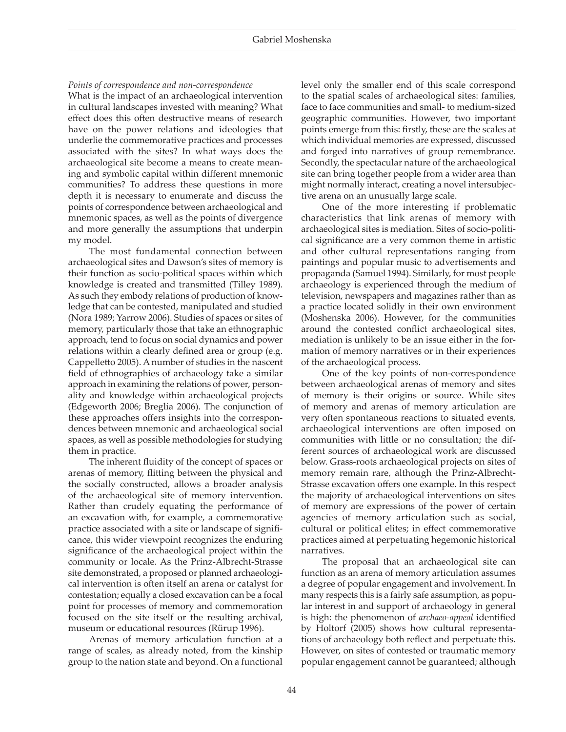#### *Points of correspondence and non-correspondence*

What is the impact of an archaeological intervention in cultural landscapes invested with meaning? What effect does this often destructive means of research have on the power relations and ideologies that underlie the commemorative practices and processes associated with the sites? In what ways does the archaeological site become a means to create meaning and symbolic capital within different mnemonic communities? To address these questions in more depth it is necessary to enumerate and discuss the points of correspondence between archaeological and mnemonic spaces, as well as the points of divergence and more generally the assumptions that underpin my model.

The most fundamental connection between archaeological sites and Dawson's sites of memory is their function as socio-political spaces within which knowledge is created and transmitted (Tilley 1989). As such they embody relations of production of knowledge that can be contested, manipulated and studied (Nora 1989; Yarrow 2006). Studies of spaces or sites of memory, particularly those that take an ethnographic approach, tend to focus on social dynamics and power relations within a clearly defined area or group (e.g. Cappelletto 2005). A number of studies in the nascent field of ethnographies of archaeology take a similar approach in examining the relations of power, personality and knowledge within archaeological projects (Edgeworth 2006; Breglia 2006). The conjunction of these approaches offers insights into the correspondences between mnemonic and archaeological social spaces, as well as possible methodologies for studying them in practice.

The inherent fluidity of the concept of spaces or arenas of memory, flitting between the physical and the socially constructed, allows a broader analysis of the archaeological site of memory intervention. Rather than crudely equating the performance of an excavation with, for example, a commemorative practice associated with a site or landscape of significance, this wider viewpoint recognizes the enduring significance of the archaeological project within the community or locale. As the Prinz-Albrecht-Strasse site demonstrated, a proposed or planned archaeological intervention is often itself an arena or catalyst for contestation; equally a closed excavation can be a focal point for processes of memory and commemoration focused on the site itself or the resulting archival, museum or educational resources (Rürup 1996).

Arenas of memory articulation function at a range of scales, as already noted, from the kinship group to the nation state and beyond. On a functional

level only the smaller end of this scale correspond to the spatial scales of archaeological sites: families, face to face communities and small- to medium-sized geographic communities. However, two important points emerge from this: firstly, these are the scales at which individual memories are expressed, discussed and forged into narratives of group remembrance. Secondly, the spectacular nature of the archaeological site can bring together people from a wider area than might normally interact, creating a novel intersubjective arena on an unusually large scale.

One of the more interesting if problematic characteristics that link arenas of memory with archaeological sites is mediation. Sites of socio-political significance are a very common theme in artistic and other cultural representations ranging from paintings and popular music to advertisements and propaganda (Samuel 1994). Similarly, for most people archaeology is experienced through the medium of television, newspapers and magazines rather than as a practice located solidly in their own environment (Moshenska 2006). However, for the communities around the contested conflict archaeological sites, mediation is unlikely to be an issue either in the formation of memory narratives or in their experiences of the archaeological process.

One of the key points of non-correspondence between archaeological arenas of memory and sites of memory is their origins or source. While sites of memory and arenas of memory articulation are very often spontaneous reactions to situated events, archaeological interventions are often imposed on communities with little or no consultation; the different sources of archaeological work are discussed below. Grass-roots archaeological projects on sites of memory remain rare, although the Prinz-Albrecht--Strasse excavation offers one example. In this respect the majority of archaeological interventions on sites of memory are expressions of the power of certain agencies of memory articulation such as social, cultural or political elites; in effect commemorative practices aimed at perpetuating hegemonic historical narratives.

The proposal that an archaeological site can function as an arena of memory articulation assumes a degree of popular engagement and involvement. In many respects this is a fairly safe assumption, as popular interest in and support of archaeology in general is high: the phenomenon of *archaeo-appeal* identified by Holtorf (2005) shows how cultural representations of archaeology both reflect and perpetuate this. However, on sites of contested or traumatic memory popular engagement cannot be guaranteed; although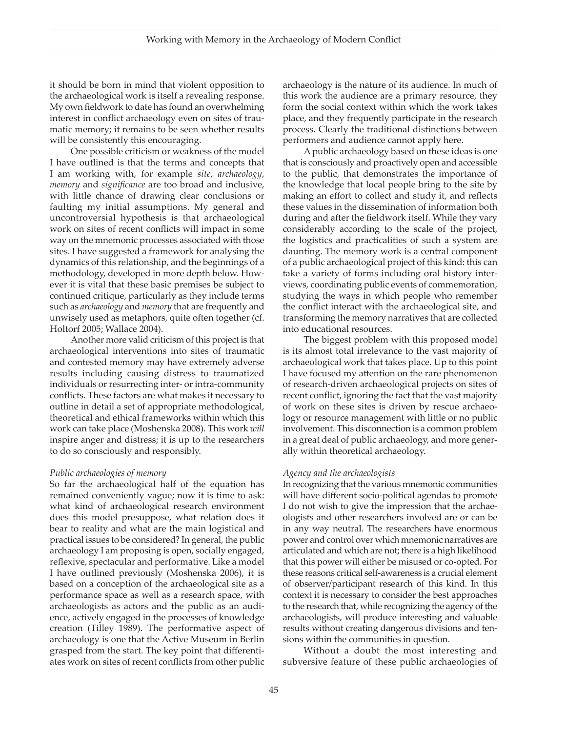it should be born in mind that violent opposition to the archaeological work is itself a revealing response. My own fieldwork to date has found an overwhelming interest in conflict archaeology even on sites of traumatic memory; it remains to be seen whether results will be consistently this encouraging.

One possible criticism or weakness of the model I have outlined is that the terms and concepts that I am working with, for example *site*, *archaeology*, *memory* and *significance* are too broad and inclusive, with little chance of drawing clear conclusions or faulting my initial assumptions. My general and uncontroversial hypothesis is that archaeological work on sites of recent conflicts will impact in some way on the mnemonic processes associated with those sites. I have suggested a framework for analysing the dynamics of this relationship, and the beginnings of a methodology, developed in more depth below. However it is vital that these basic premises be subject to continued critique, particularly as they include terms such as *archaeology* and *memory* that are frequently and unwisely used as metaphors, quite often together (cf. Holtorf 2005; Wallace 2004).

Another more valid criticism of this project is that archaeological interventions into sites of traumatic and contested memory may have extremely adverse results including causing distress to traumatized individuals or resurrecting inter- or intra-community conflicts. These factors are what makes it necessary to outline in detail a set of appropriate methodological, theoretical and ethical frameworks within which this work can take place (Moshenska 2008). This work *will* inspire anger and distress; it is up to the researchers to do so consciously and responsibly.

# *Public archaeologies of memory*

So far the archaeological half of the equation has remained conveniently vague; now it is time to ask: what kind of archaeological research environment does this model presuppose, what relation does it bear to reality and what are the main logistical and practical issues to be considered? In general, the public archaeology I am proposing is open, socially engaged, reflexive, spectacular and performative. Like a model I have outlined previously (Moshenska 2006), it is based on a conception of the archaeological site as a performance space as well as a research space, with archaeologists as actors and the public as an audience, actively engaged in the processes of knowledge creation (Tilley 1989). The performative aspect of archaeology is one that the Active Museum in Berlin grasped from the start. The key point that differentiates work on sites of recent conflicts from other public archaeology is the nature of its audience. In much of this work the audience are a primary resource, they form the social context within which the work takes place, and they frequently participate in the research process. Clearly the traditional distinctions between performers and audience cannot apply here.

A public archaeology based on these ideas is one that is consciously and proactively open and accessible to the public, that demonstrates the importance of the knowledge that local people bring to the site by making an effort to collect and study it, and reflects these values in the dissemination of information both during and after the fieldwork itself. While they vary considerably according to the scale of the project, the logistics and practicalities of such a system are daunting. The memory work is a central component of a public archaeological project of this kind: this can take a variety of forms including oral history interviews, coordinating public events of commemoration, studying the ways in which people who remember the conflict interact with the archaeological site, and transforming the memory narratives that are collected into educational resources.

The biggest problem with this proposed model is its almost total irrelevance to the vast majority of archaeological work that takes place. Up to this point I have focused my attention on the rare phenomenon of research-driven archaeological projects on sites of recent conflict, ignoring the fact that the vast majority of work on these sites is driven by rescue archaeology or resource management with little or no public involvement. This disconnection is a common problem in a great deal of public archaeology, and more generally within theoretical archaeology.

# *Agency and the archaeologists*

In recognizing that the various mnemonic communities will have different socio-political agendas to promote I do not wish to give the impression that the archaeologists and other researchers involved are or can be in any way neutral. The researchers have enormous power and control over which mnemonic narratives are articulated and which are not; there is a high likelihood that this power will either be misused or co-opted. For these reasons critical self-awareness is a crucial element of observer/participant research of this kind. In this context it is necessary to consider the best approaches to the research that, while recognizing the agency of the archaeologists, will produce interesting and valuable results without creating dangerous divisions and tensions within the communities in question.

Without a doubt the most interesting and subversive feature of these public archaeologies of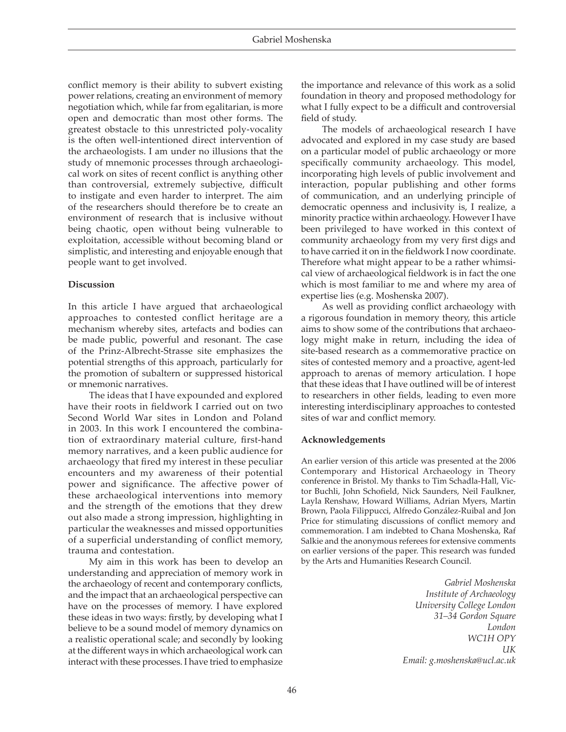conflict memory is their ability to subvert existing power relations, creating an environment of memory negotiation which, while far from egalitarian, is more open and democratic than most other forms. The greatest obstacle to this unrestricted poly-vocality is the often well-intentioned direct intervention of the archaeologists. I am under no illusions that the study of mnemonic processes through archaeological work on sites of recent conflict is anything other than controversial, extremely subjective, difficult to instigate and even harder to interpret. The aim of the researchers should therefore be to create an environment of research that is inclusive without being chaotic, open without being vulnerable to exploitation, accessible without becoming bland or simplistic, and interesting and enjoyable enough that people want to get involved.

# **Discussion**

In this article I have argued that archaeological approaches to contested conflict heritage are a mechanism whereby sites, artefacts and bodies can be made public, powerful and resonant. The case of the Prinz-Albrecht-Strasse site emphasizes the potential strengths of this approach, particularly for the promotion of subaltern or suppressed historical or mnemonic narratives.

The ideas that I have expounded and explored have their roots in fieldwork I carried out on two Second World War sites in London and Poland in 2003. In this work I encountered the combination of extraordinary material culture, first-hand memory narratives, and a keen public audience for archaeology that fired my interest in these peculiar encounters and my awareness of their potential power and significance. The affective power of these archaeological interventions into memory and the strength of the emotions that they drew out also made a strong impression, highlighting in particular the weaknesses and missed opportunities of a superficial understanding of conflict memory, trauma and contestation.

My aim in this work has been to develop an understanding and appreciation of memory work in the archaeology of recent and contemporary conflicts, and the impact that an archaeological perspective can have on the processes of memory. I have explored these ideas in two ways: firstly, by developing what I believe to be a sound model of memory dynamics on a realistic operational scale; and secondly by looking at the different ways in which archaeological work can interact with these processes. I have tried to emphasize

the importance and relevance of this work as a solid foundation in theory and proposed methodology for what I fully expect to be a difficult and controversial field of study.

The models of archaeological research I have advocated and explored in my case study are based on a particular model of public archaeology or more specifically community archaeology. This model, incorporating high levels of public involvement and interaction, popular publishing and other forms of communication, and an underlying principle of democratic openness and inclusivity is, I realize, a minority practice within archaeology. However I have been privileged to have worked in this context of community archaeology from my very first digs and to have carried it on in the fieldwork I now coordinate. Therefore what might appear to be a rather whimsical view of archaeological fieldwork is in fact the one which is most familiar to me and where my area of expertise lies (e.g. Moshenska 2007).

As well as providing conflict archaeology with a rigorous foundation in memory theory, this article aims to show some of the contributions that archaeology might make in return, including the idea of site-based research as a commemorative practice on sites of contested memory and a proactive, agent-led approach to arenas of memory articulation. I hope that these ideas that I have outlined will be of interest to researchers in other fields, leading to even more interesting interdisciplinary approaches to contested sites of war and conflict memory.

# **Acknowledgements**

An earlier version of this article was presented at the 2006 Contemporary and Historical Archaeology in Theory conference in Bristol. My thanks to Tim Schadla-Hall, Victor Buchli, John Schofield, Nick Saunders, Neil Faulkner, Layla Renshaw, Howard Williams, Adrian Myers, Martin Brown, Paola Filippucci, Alfredo González-Ruibal and Jon Price for stimulating discussions of conflict memory and commemoration. I am indebted to Chana Moshenska, Raf Salkie and the anonymous referees for extensive comments on earlier versions of the paper. This research was funded by the Arts and Humanities Research Council.

> *Gabriel Moshenska Institute of Archaeology University College London 31–34 Gordon Square London WC1H OPY UK Email: g.moshenska@ucl.ac.uk*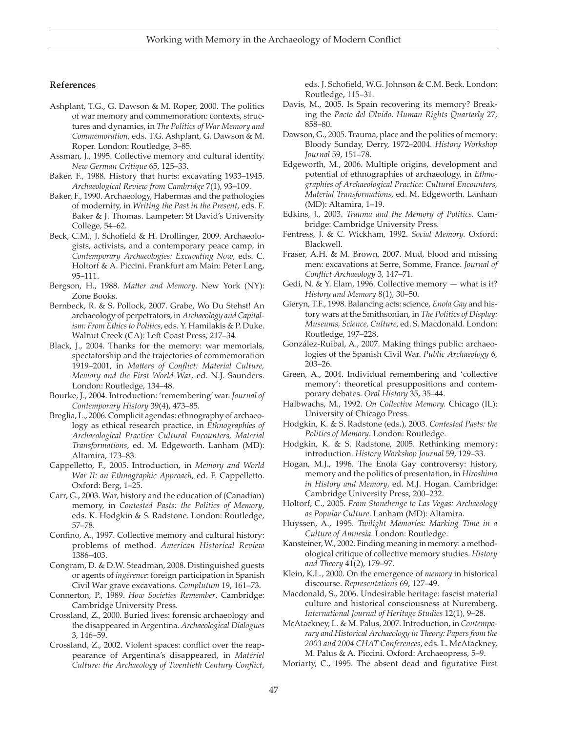#### **References**

- Ashplant, T.G., G. Dawson & M. Roper, 2000. The politics of war memory and commemoration: contexts, structures and dynamics, in *The Politics of War Memory and Commemoration*, eds. T.G. Ashplant, G. Dawson & M. Roper. London: Routledge, 3–85.
- Assman, J., 1995. Collective memory and cultural identity. *New German Critique* 65, 125–33.
- Baker, F., 1988. History that hurts: excavating 1933–1945. *Archaeological Review from Cambridge* 7(1), 93–109.
- Baker, F., 1990. Archaeology, Habermas and the pathologies of modernity, in *Writing the Past in the Present*, eds. F. Baker & J. Thomas. Lampeter: St David's University College, 54–62.
- Beck, C.M., J. Schofield & H. Drollinger, 2009. Archaeologists, activists, and a contemporary peace camp, in *Contemporary Archaeologies: Excavating Now*, eds. C. Holtorf & A. Piccini. Frankfurt am Main: Peter Lang, 95–111.
- Bergson, H., 1988. *Matter and Memory*. New York (NY): Zone Books.
- Bernbeck, R. & S. Pollock, 2007. Grabe, Wo Du Stehst! An archaeology of perpetrators, in *Archaeology and Capitalism: From Ethics to Politics*, eds. Y. Hamilakis & P. Duke. Walnut Creek (CA): Left Coast Press, 217–34.
- Black, J., 2004. Thanks for the memory: war memorials, spectatorship and the trajectories of commemoration 1919–2001, in *Matters of Conflict: Material Culture, Memory and the First World War*, ed. N.J. Saunders. London: Routledge, 134–48.
- Bourke, J., 2004. Introduction: 'remembering' war. *Journal of Contemporary History* 39(4), 473–85.
- Breglia, L., 2006. Complicit agendas: ethnography of archaeology as ethical research practice, in *Ethnographies of Archaeological Practice: Cultural Encounters, Material Transformations*, ed. M. Edgeworth. Lanham (MD): Altamira, 173–83.
- Cappelletto, F., 2005. Introduction, in *Memory and World War II: an Ethnographic Approach*, ed. F. Cappelletto. Oxford: Berg, 1–25.
- Carr, G., 2003. War, history and the education of (Canadian) memory, in *Contested Pasts: the Politics of Memory*, eds. K. Hodgkin & S. Radstone. London: Routledge, 57–78.
- Confino, A., 1997. Collective memory and cultural history: problems of method. *American Historical Review* 1386–403.
- Congram, D. & D.W. Steadman, 2008. Distinguished guests or agents of *ingérence*: foreign participation in Spanish Civil War grave excavations. *Complutum* 19, 161–73.
- Connerton, P., 1989. *How Societies Remember*. Cambridge: Cambridge University Press.
- Crossland, Z., 2000. Buried lives: forensic archaeology and the disappeared in Argentina. *Archaeological Dialogues*  3, 146–59.
- Crossland, Z., 2002. Violent spaces: conflict over the reappearance of Argentina's disappeared, in *Matériel Culture: the Archaeology of Twentieth Century Conflict*,

eds. J. Schofield, W.G. Johnson & C.M. Beck. London: Routledge, 115–31.

- Davis, M., 2005. Is Spain recovering its memory? Breaking the *Pacto del Olvido*. *Human Rights Quarterly* 27, 858–80.
- Dawson, G., 2005. Trauma, place and the politics of memory: Bloody Sunday, Derry, 1972–2004. *History Workshop Journal* 59, 151–78.
- Edgeworth, M., 2006. Multiple origins, development and potential of ethnographies of archaeology, in *Ethnographies of Archaeological Practice: Cultural Encounters, Material Transformations*, ed. M. Edgeworth. Lanham (MD): Altamira, 1–19.
- Edkins, J., 2003. *Trauma and the Memory of Politics.* Cambridge: Cambridge University Press.
- Fentress, J. & C. Wickham, 1992. *Social Memory.* Oxford: Blackwell.
- Fraser, A.H. & M. Brown, 2007. Mud, blood and missing men: excavations at Serre, Somme, France. *Journal of Conflict Archaeology* 3, 147–71.
- Gedi, N. & Y. Elam, 1996. Collective memory what is it? *History and Memory* 8(1), 30–50.
- Gieryn, T.F., 1998. Balancing acts: science, *Enola Gay* and history wars at the Smithsonian, in *The Politics of Display: Museums, Science, Culture*, ed. S. Macdonald. London: Routledge, 197–228.
- González-Ruibal, A., 2007. Making things public: archaeologies of the Spanish Civil War. *Public Archaeology* 6, 203–26.
- Green, A., 2004. Individual remembering and 'collective memory': theoretical presuppositions and contemporary debates. *Oral History* 35, 35–44.
- Halbwachs, M., 1992. *On Collective Memory.* Chicago (IL): University of Chicago Press.
- Hodgkin, K. & S. Radstone (eds.), 2003. *Contested Pasts: the Politics of Memory*. London: Routledge.
- Hodgkin, K. & S. Radstone, 2005. Rethinking memory: introduction. *History Workshop Journal* 59, 129–33.
- Hogan, M.J., 1996. The Enola Gay controversy: history, memory and the politics of presentation, in *Hiroshima in History and Memory*, ed. M.J. Hogan. Cambridge: Cambridge University Press, 200–232.
- Holtorf, C., 2005. *From Stonehenge to Las Vegas: Archaeology as Popular Culture*. Lanham (MD): Altamira.
- Huyssen, A., 1995. *Twilight Memories: Marking Time in a Culture of Amnesia*. London: Routledge.
- Kansteiner, W., 2002. Finding meaning in memory: a methodological critique of collective memory studies. *History and Theory* 41(2), 179–97.
- Klein, K.L., 2000. On the emergence of *memory* in historical discourse. *Representations* 69, 127–49.
- Macdonald, S., 2006. Undesirable heritage: fascist material culture and historical consciousness at Nuremberg. *International Journal of Heritage Studies* 12(1), 9–28.
- McAtackney, L. & M. Palus, 2007. Introduction, in *Contemporary and Historical Archaeology in Theory: Papers from the 2003 and 2004 CHAT Conferences*, eds. L. McAtackney, M. Palus & A. Piccini. Oxford: Archaeopress, 5–9.
- Moriarty, C., 1995. The absent dead and figurative First